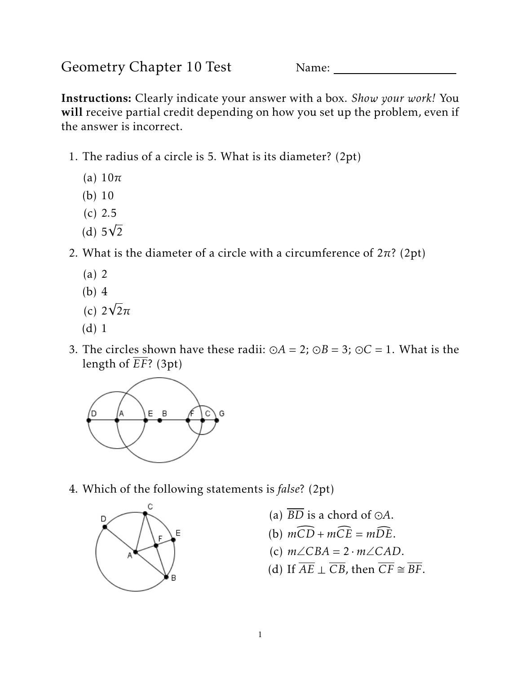Geometry Chapter 10 Test Name:

Instructions: Clearly indicate your answer with a box. *Show your work!* You will receive partial credit depending on how you set up the problem, even if the answer is incorrect.

- 1. The radius of a circle is 5. What is its diameter? (2pt)
	- (a) 10*π*
	- (b) 10
	- (c) 2*.*5
	- (d)  $5\sqrt{2}$
- 2. What is the diameter of a circle with a circumference of  $2\pi$ ? (2pt)
	- (a) 2
	- (b) 4
	- $(c) 2√2π$
	- (d) 1
- 3. The circles shown have these radii:  $\odot A = 2$ ;  $\odot B = 3$ ;  $\odot C = 1$ . What is the length of *EF*? (3pt)



4. Which of the following statements is *false*? (2pt)



- (a)  $\overline{BD}$  is a chord of  $\odot A$ .
- (b)  $m\widehat{CD} + m\widehat{CE} = m\widehat{DE}$ .
- (c) *m*∠*CBA* = 2 · *m*∠*CAD*.
- (d) If  $\overline{AE} \perp \overline{CB}$ , then  $\overline{CF} \cong \overline{BF}$ .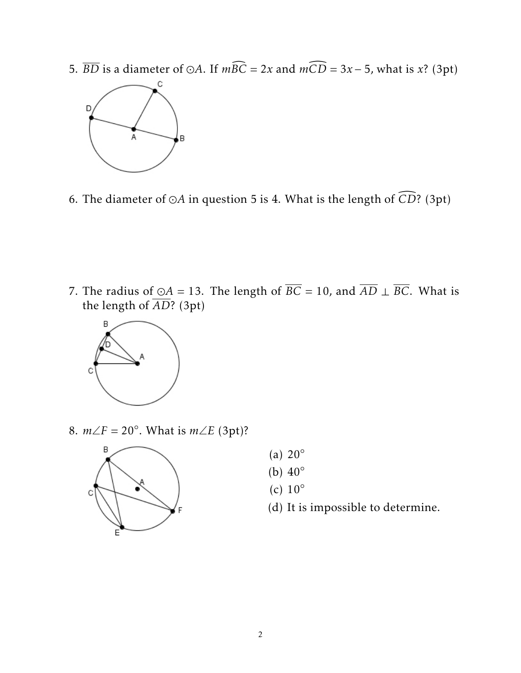5.  $\overline{BD}$  is a diameter of  $\odot A$ . If  $m\widehat{BC} = 2x$  and  $m\widehat{CD} = 3x - 5$ , what is *x*? (3pt)



6. The diameter of  $\odot$ A in question 5 is 4. What is the length of  $\widehat{CD}$ ? (3pt)

7. The radius of ⊙A = 13. The length of  $\overline{BC}$  = 10, and  $\overline{AD}$  ⊥  $\overline{BC}$ . What is the length of *AD*? (3pt)



8.  $m∠F = 20°$ . What is  $m∠E$  (3pt)?



- (a)  $20^\circ$
- (b)  $40^\circ$
- (c)  $10^\circ$
- (d) It is impossible to determine.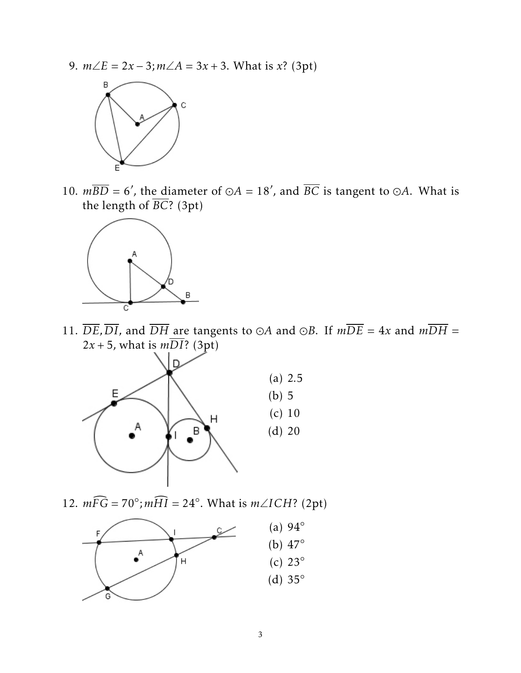9. *m*∠*E* = 2*x* − 3;*m*∠*A* = 3*x* + 3. What is *x*? (3pt)



10.  $m\overline{BD} = 6'$ , the diameter of  $\odot A = 18'$ , and  $\overline{BC}$  is tangent to  $\odot A$ . What is the length of *BC*? (3pt)



11.  $\overline{DE}, \overline{DI}$ , and  $\overline{DH}$  are tangents to  $\odot A$  and  $\odot B$ . If  $m\overline{DE} = 4x$  and  $m\overline{DH} = 0$  $2x + 5$ , what is  $m\overline{DI}$ ? (3pt)



12.  $m\widehat{FG} = 70^\circ; m\widehat{HI} = 24^\circ$ . What is  $m\angle ICH$ ? (2pt)